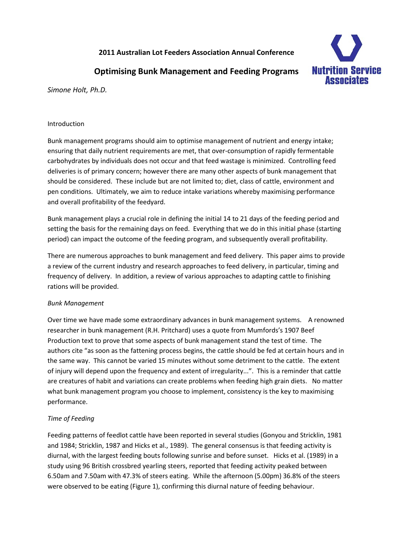**2011 Australian Lot Feeders Association Annual Conference** 



# **Optimising Bunk Management and Feeding Programs**

*Simone Holt, Ph.D.* 

## Introduction

Bunk management programs should aim to optimise management of nutrient and energy intake; ensuring that daily nutrient requirements are met, that over-consumption of rapidly fermentable carbohydrates by individuals does not occur and that feed wastage is minimized. Controlling feed deliveries is of primary concern; however there are many other aspects of bunk management that should be considered. These include but are not limited to; diet, class of cattle, environment and pen conditions. Ultimately, we aim to reduce intake variations whereby maximising performance and overall profitability of the feedyard.

Bunk management plays a crucial role in defining the initial 14 to 21 days of the feeding period and setting the basis for the remaining days on feed. Everything that we do in this initial phase (starting period) can impact the outcome of the feeding program, and subsequently overall profitability.

There are numerous approaches to bunk management and feed delivery. This paper aims to provide a review of the current industry and research approaches to feed delivery, in particular, timing and frequency of delivery. In addition, a review of various approaches to adapting cattle to finishing rations will be provided.

# *Bunk Management*

Over time we have made some extraordinary advances in bunk management systems. A renowned researcher in bunk management (R.H. Pritchard) uses a quote from Mumfords's 1907 Beef Production text to prove that some aspects of bunk management stand the test of time. The authors cite "as soon as the fattening process begins, the cattle should be fed at certain hours and in the same way. This cannot be varied 15 minutes without some detriment to the cattle. The extent of injury will depend upon the frequency and extent of irregularity...". This is a reminder that cattle are creatures of habit and variations can create problems when feeding high grain diets. No matter what bunk management program you choose to implement, consistency is the key to maximising performance.

# *Time of Feeding*

Feeding patterns of feedlot cattle have been reported in several studies (Gonyou and Stricklin, 1981 and 1984; Stricklin, 1987 and Hicks et al., 1989). The general consensus is that feeding activity is diurnal, with the largest feeding bouts following sunrise and before sunset. Hicks et al. (1989) in a study using 96 British crossbred yearling steers, reported that feeding activity peaked between 6.50am and 7.50am with 47.3% of steers eating. While the afternoon (5.00pm) 36.8% of the steers were observed to be eating (Figure 1), confirming this diurnal nature of feeding behaviour.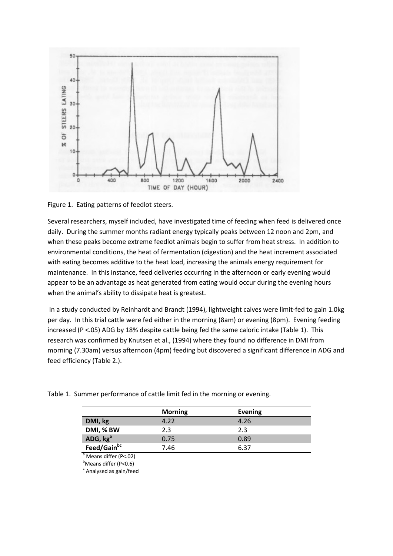

Figure 1. Eating patterns of feedlot steers.

Several researchers, myself included, have investigated time of feeding when feed is delivered once daily. During the summer months radiant energy typically peaks between 12 noon and 2pm, and when these peaks become extreme feedlot animals begin to suffer from heat stress. In addition to environmental conditions, the heat of fermentation (digestion) and the heat increment associated with eating becomes additive to the heat load, increasing the animals energy requirement for maintenance. In this instance, feed deliveries occurring in the afternoon or early evening would appear to be an advantage as heat generated from eating would occur during the evening hours when the animal's ability to dissipate heat is greatest.

 In a study conducted by Reinhardt and Brandt (1994), lightweight calves were limit-fed to gain 1.0kg per day. In this trial cattle were fed either in the morning (8am) or evening (8pm). Evening feeding increased (P <.05) ADG by 18% despite cattle being fed the same caloric intake (Table 1). This research was confirmed by Knutsen et al., (1994) where they found no difference in DMI from morning (7.30am) versus afternoon (4pm) feeding but discovered a significant difference in ADG and feed efficiency (Table 2.).

|  | Table 1. Summer performance of cattle limit fed in the morning or evening. |  |  |  |
|--|----------------------------------------------------------------------------|--|--|--|
|  |                                                                            |  |  |  |

|                                                 | <b>Morning</b> | <b>Evening</b> |
|-------------------------------------------------|----------------|----------------|
| DMI, kg                                         | 4.22           | 4.26           |
| DMI, % BW                                       | 2.3            | 2.3            |
| ADG, kg <sup>a</sup><br>Feed/Gain <sup>bc</sup> | 0.75           | 0.89           |
|                                                 | 7.46           | 6.37           |

 $a$  Means differ (P<.02)

 $<sup>b</sup>$ Means differ (P<0.6)</sup>

 $c$  Analysed as gain/feed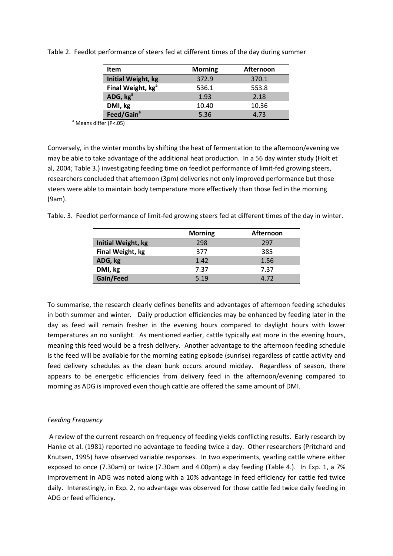| Item                          | <b>Morning</b> | <b>Afternoon</b> |
|-------------------------------|----------------|------------------|
| <b>Initial Weight, kg</b>     | 372.9          | 370.1            |
| Final Weight, kg <sup>a</sup> | 536.1          | 553.8            |
| ADG, kg <sup>a</sup>          | 1.93           | 2.18             |
| DMI, kg                       | 10.40          | 10.36            |
| Feed/Gain <sup>a</sup>        | 5.36           | 4.73             |

Table 2. Feedlot performance of steers fed at different times of the day during summer

 $a$  Means differ (P<.05)

Conversely, in the winter months by shifting the heat of fermentation to the afternoon/evening we may be able to take advantage of the additional heat production. In a 56 day winter study (Holt et al, 2004; Table 3.) investigating feeding time on feedlot performance of limit-fed growing steers, researchers concluded that afternoon (3pm) deliveries not only improved performance but those steers were able to maintain body temperature more effectively than those fed in the morning (9am).

Table. 3. Feedlot performance of limit-fed growing steers fed at different times of the day in winter.

|                           | <b>Morning</b> | <b>Afternoon</b> |
|---------------------------|----------------|------------------|
| <b>Initial Weight, kg</b> | 298            | 297              |
| Final Weight, kg          | 377            | 385              |
| ADG, kg                   | 1.42           | 1.56             |
| DMI, kg                   | 7.37           | 7.37             |
| Gain/Feed                 | 5.19           | 4.72             |

To summarise, the research clearly defines benefits and advantages of afternoon feeding schedules in both summer and winter. Daily production efficiencies may be enhanced by feeding later in the day as feed will remain fresher in the evening hours compared to daylight hours with lower temperatures an no sunlight. As mentioned earlier, cattle typically eat more in the evening hours, meaning this feed would be a fresh delivery. Another advantage to the afternoon feeding schedule is the feed will be available for the morning eating episode (sunrise) regardless of cattle activity and feed delivery schedules as the clean bunk occurs around midday. Regardless of season, there appears to be energetic efficiencies from delivery feed in the afternoon/evening compared to morning as ADG is improved even though cattle are offered the same amount of DMI.

## *Feeding Frequency*

 A review of the current research on frequency of feeding yields conflicting results. Early research by Hanke et al. (1981) reported no advantage to feeding twice a day. Other researchers (Pritchard and Knutsen, 1995) have observed variable responses. In two experiments, yearling cattle where either exposed to once (7.30am) or twice (7.30am and 4.00pm) a day feeding (Table 4.). In Exp. 1, a 7% improvement in ADG was noted along with a 10% advantage in feed efficiency for cattle fed twice daily. Interestingly, in Exp. 2, no advantage was observed for those cattle fed twice daily feeding in ADG or feed efficiency.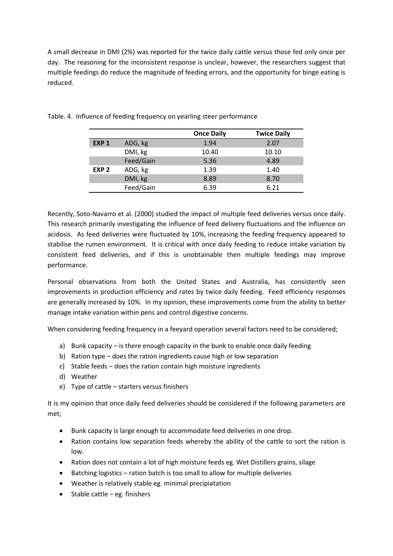A small decrease in DMI (2%) was reported for the twice daily cattle versus those fed only once per day. The reasoning for the inconsistent response is unclear, however, the researchers suggest that multiple feedings do reduce the magnitude of feeding errors, and the opportunity for binge eating is reduced.

|                  |           | <b>Once Daily</b> | <b>Twice Daily</b> |
|------------------|-----------|-------------------|--------------------|
| EXP <sub>1</sub> | ADG, kg   | 1.94              | 2.07               |
|                  | DMI, kg   | 10.40             | 10.10              |
|                  | Feed/Gain | 5.36              | 4.89               |
| EXP <sub>2</sub> | ADG, kg   | 1.39              | 1.40               |
|                  | DMI, kg   | 8.89              | 8.70               |
|                  | Feed/Gain | 6.39              | 6.21               |

Table. 4. Influence of feeding frequency on yearling steer performance

Recently, Soto-Navarro et al. (2000) studied the impact of multiple feed deliveries versus once daily. This research primarily investigating the influence of feed delivery fluctuations and the influence on acidosis. As feed deliveries were fluctuated by 10%, increasing the feeding frequency appeared to stabilise the rumen environment. It is critical with once daily feeding to reduce intake variation by consistent feed deliveries, and if this is unobtainable then multiple feedings may improve performance.

Personal observations from both the United States and Australia, has consistently seen improvements in production efficiency and rates by twice daily feeding. Feed efficiency responses are generally increased by 10%. In my opinion, these improvements come from the ability to better manage intake variation within pens and control digestive concerns.

When considering feeding frequency in a feeyard operation several factors need to be considered;

- a) Bunk capacity is there enough capacity in the bunk to enable once daily feeding
- b) Ration type does the ration ingredients cause high or low separation
- c) Stable feeds does the ration contain high moisture ingredients
- d) Weather
- e) Type of cattle starters versus finishers

It is my opinion that once daily feed deliveries should be considered if the following parameters are met;

- Bunk capacity is large enough to accommodate feed deliveries in one drop.
- Ration contains low separation feeds whereby the ability of the cattle to sort the ration is low.
- Ration does not contain a lot of high moisture feeds eg. Wet Distillers grains, silage
- Batching logistics ration batch is too small to allow for multiple deliveries
- Weather is relatively stable eg. minimal precipiatation
- Stable cattle eg. finishers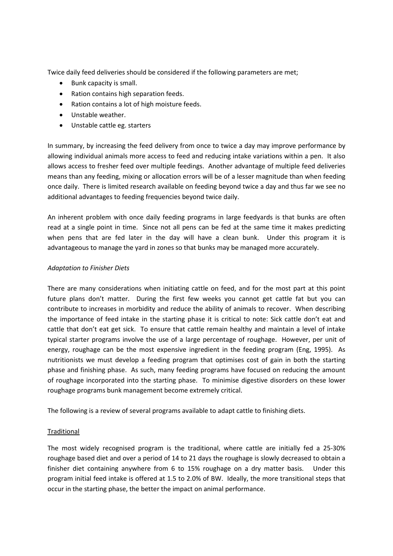Twice daily feed deliveries should be considered if the following parameters are met;

- Bunk capacity is small.
- Ration contains high separation feeds.
- Ration contains a lot of high moisture feeds.
- Unstable weather.
- Unstable cattle eg. starters

In summary, by increasing the feed delivery from once to twice a day may improve performance by allowing individual animals more access to feed and reducing intake variations within a pen. It also allows access to fresher feed over multiple feedings. Another advantage of multiple feed deliveries means than any feeding, mixing or allocation errors will be of a lesser magnitude than when feeding once daily. There is limited research available on feeding beyond twice a day and thus far we see no additional advantages to feeding frequencies beyond twice daily.

An inherent problem with once daily feeding programs in large feedyards is that bunks are often read at a single point in time. Since not all pens can be fed at the same time it makes predicting when pens that are fed later in the day will have a clean bunk. Under this program it is advantageous to manage the yard in zones so that bunks may be managed more accurately.

## *Adaptation to Finisher Diets*

There are many considerations when initiating cattle on feed, and for the most part at this point future plans don't matter. During the first few weeks you cannot get cattle fat but you can contribute to increases in morbidity and reduce the ability of animals to recover. When describing the importance of feed intake in the starting phase it is critical to note: Sick cattle don't eat and cattle that don't eat get sick. To ensure that cattle remain healthy and maintain a level of intake typical starter programs involve the use of a large percentage of roughage. However, per unit of energy, roughage can be the most expensive ingredient in the feeding program (Eng, 1995). As nutritionists we must develop a feeding program that optimises cost of gain in both the starting phase and finishing phase. As such, many feeding programs have focused on reducing the amount of roughage incorporated into the starting phase. To minimise digestive disorders on these lower roughage programs bunk management become extremely critical.

The following is a review of several programs available to adapt cattle to finishing diets.

#### Traditional

The most widely recognised program is the traditional, where cattle are initially fed a 25-30% roughage based diet and over a period of 14 to 21 days the roughage is slowly decreased to obtain a finisher diet containing anywhere from 6 to 15% roughage on a dry matter basis. Under this program initial feed intake is offered at 1.5 to 2.0% of BW. Ideally, the more transitional steps that occur in the starting phase, the better the impact on animal performance.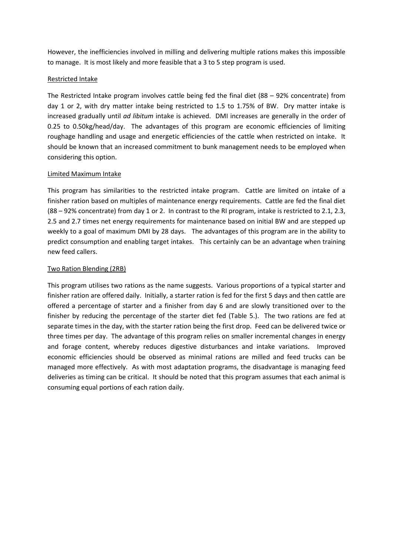However, the inefficiencies involved in milling and delivering multiple rations makes this impossible to manage. It is most likely and more feasible that a 3 to 5 step program is used.

## Restricted Intake

The Restricted Intake program involves cattle being fed the final diet (88 – 92% concentrate) from day 1 or 2, with dry matter intake being restricted to 1.5 to 1.75% of BW. Dry matter intake is increased gradually until *ad libitum* intake is achieved. DMI increases are generally in the order of 0.25 to 0.50kg/head/day. The advantages of this program are economic efficiencies of limiting roughage handling and usage and energetic efficiencies of the cattle when restricted on intake. It should be known that an increased commitment to bunk management needs to be employed when considering this option.

#### Limited Maximum Intake

This program has similarities to the restricted intake program. Cattle are limited on intake of a finisher ration based on multiples of maintenance energy requirements. Cattle are fed the final diet (88 – 92% concentrate) from day 1 or 2. In contrast to the RI program, intake is restricted to 2.1, 2.3, 2.5 and 2.7 times net energy requirements for maintenance based on initial BW and are stepped up weekly to a goal of maximum DMI by 28 days. The advantages of this program are in the ability to predict consumption and enabling target intakes. This certainly can be an advantage when training new feed callers.

#### Two Ration Blending (2RB)

This program utilises two rations as the name suggests. Various proportions of a typical starter and finisher ration are offered daily. Initially, a starter ration is fed for the first 5 days and then cattle are offered a percentage of starter and a finisher from day 6 and are slowly transitioned over to the finisher by reducing the percentage of the starter diet fed (Table 5.). The two rations are fed at separate times in the day, with the starter ration being the first drop. Feed can be delivered twice or three times per day. The advantage of this program relies on smaller incremental changes in energy and forage content, whereby reduces digestive disturbances and intake variations. Improved economic efficiencies should be observed as minimal rations are milled and feed trucks can be managed more effectively. As with most adaptation programs, the disadvantage is managing feed deliveries as timing can be critical. It should be noted that this program assumes that each animal is consuming equal portions of each ration daily.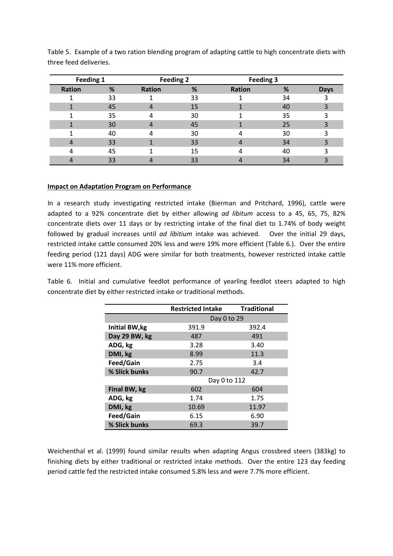| Feeding 1     |    | <b>Feeding 2</b> |    | Feeding 3     |    |             |
|---------------|----|------------------|----|---------------|----|-------------|
| <b>Ration</b> | %  | <b>Ration</b>    | %  | <b>Ration</b> | %  | <b>Days</b> |
|               | 33 |                  | 33 |               | 34 |             |
|               | 45 |                  | 15 |               | 40 | 3           |
|               | 35 |                  | 30 |               | 35 |             |
|               | 30 |                  | 45 |               | 25 |             |
|               | 40 |                  | 30 | 4             | 30 |             |
|               | 33 |                  | 33 |               | 34 |             |
|               | 45 |                  | 15 |               | 40 |             |
|               | 33 |                  | 33 |               | 34 |             |

Table 5. Example of a two ration blending program of adapting cattle to high concentrate diets with three feed deliveries.

#### **Impact on Adaptation Program on Performance**

In a research study investigating restricted intake (Bierman and Pritchard, 1996), cattle were adapted to a 92% concentrate diet by either allowing *ad libitum* access to a 45, 65, 75, 82% concentrate diets over 11 days or by restricting intake of the final diet to 1.74% of body weight followed by gradual increases until *ad libitium* intake was achieved. Over the initial 29 days, restricted intake cattle consumed 20% less and were 19% more efficient (Table 6.). Over the entire feeding period (121 days) ADG were similar for both treatments, however restricted intake cattle were 11% more efficient.

Table 6. Initial and cumulative feedlot performance of yearling feedlot steers adapted to high concentrate diet by either restricted intake or traditional methods.

|                       | <b>Restricted Intake</b> | <b>Traditional</b> |  |
|-----------------------|--------------------------|--------------------|--|
|                       |                          | Day 0 to 29        |  |
| <b>Initial BW, kg</b> | 391.9                    | 392.4              |  |
| Day 29 BW, kg         | 487                      | 491                |  |
| ADG, kg               | 3.28                     | 3.40               |  |
| DMI, kg               | 8.99                     | 11.3               |  |
| Feed/Gain             | 2.75                     | 3.4                |  |
| % Slick bunks         | 90.7                     | 42.7               |  |
|                       | Day 0 to 112             |                    |  |
| Final BW, kg          | 602                      | 604                |  |
| ADG, kg               | 1.74                     | 1.75               |  |
| DMI, kg               | 10.69                    | 11.97              |  |
| Feed/Gain             | 6.15                     | 6.90               |  |
| % Slick bunks         | 69.3                     | 39.7               |  |

Weichenthal et al. (1999) found similar results when adapting Angus crossbred steers (383kg) to finishing diets by either traditional or restricted intake methods. Over the entire 123 day feeding period cattle fed the restricted intake consumed 5.8% less and were 7.7% more efficient.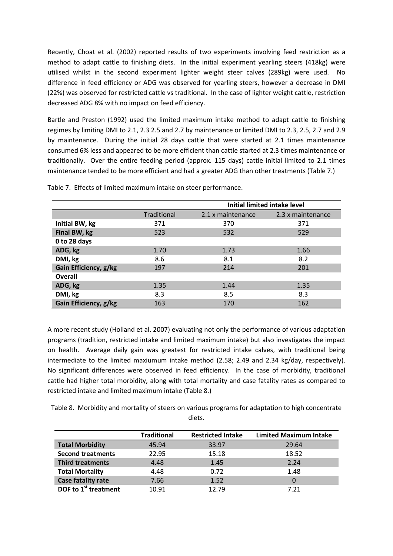Recently, Choat et al. (2002) reported results of two experiments involving feed restriction as a method to adapt cattle to finishing diets. In the initial experiment yearling steers (418kg) were utilised whilst in the second experiment lighter weight steer calves (289kg) were used. No difference in feed efficiency or ADG was observed for yearling steers, however a decrease in DMI (22%) was observed for restricted cattle vs traditional. In the case of lighter weight cattle, restriction decreased ADG 8% with no impact on feed efficiency.

Bartle and Preston (1992) used the limited maximum intake method to adapt cattle to finishing regimes by limiting DMI to 2.1, 2.3 2.5 and 2.7 by maintenance or limited DMI to 2.3, 2.5, 2.7 and 2.9 by maintenance. During the initial 28 days cattle that were started at 2.1 times maintenance consumed 6% less and appeared to be more efficient than cattle started at 2.3 times maintenance or traditionally. Over the entire feeding period (approx. 115 days) cattle initial limited to 2.1 times maintenance tended to be more efficient and had a greater ADG than other treatments (Table 7.)

|                       |             | <b>Initial limited intake level</b> |                   |  |
|-----------------------|-------------|-------------------------------------|-------------------|--|
|                       | Traditional | 2.1 x maintenance                   | 2.3 x maintenance |  |
| Initial BW, kg        | 371         | 370                                 | 371               |  |
| Final BW, kg          | 523         | 532                                 | 529               |  |
| 0 to 28 days          |             |                                     |                   |  |
| ADG, kg               | 1.70        | 1.73                                | 1.66              |  |
| DMI, kg               | 8.6         | 8.1                                 | 8.2               |  |
| Gain Efficiency, g/kg | 197         | 214                                 | 201               |  |
| Overall               |             |                                     |                   |  |
| ADG, kg               | 1.35        | 1.44                                | 1.35              |  |
| DMI, kg               | 8.3         | 8.5                                 | 8.3               |  |
| Gain Efficiency, g/kg | 163         | 170                                 | 162               |  |

Table 7. Effects of limited maximum intake on steer performance.

A more recent study (Holland et al. 2007) evaluating not only the performance of various adaptation programs (tradition, restricted intake and limited maximum intake) but also investigates the impact on health. Average daily gain was greatest for restricted intake calves, with traditional being intermediate to the limited maxiumum intake method (2.58; 2.49 and 2.34 kg/day, respectively). No significant differences were observed in feed efficiency. In the case of morbidity, traditional cattle had higher total morbidity, along with total mortality and case fatality rates as compared to restricted intake and limited maximum intake (Table 8.)

Table 8. Morbidity and mortality of steers on various programs for adaptation to high concentrate diets.

|                                  | <b>Traditional</b> | <b>Restricted Intake</b> | <b>Limited Maximum Intake</b> |
|----------------------------------|--------------------|--------------------------|-------------------------------|
| <b>Total Morbidity</b>           | 45.94              | 33.97                    | 29.64                         |
| <b>Second treatments</b>         | 22.95              | 15.18                    | 18.52                         |
| <b>Third treatments</b>          | 4.48               | 1.45                     | 2.24                          |
| <b>Total Mortality</b>           | 4.48               | 0.72                     | 1.48                          |
| <b>Case fatality rate</b>        | 7.66               | 1.52                     |                               |
| DOF to 1 <sup>st</sup> treatment | 10.91              | 12.79                    | 7.21                          |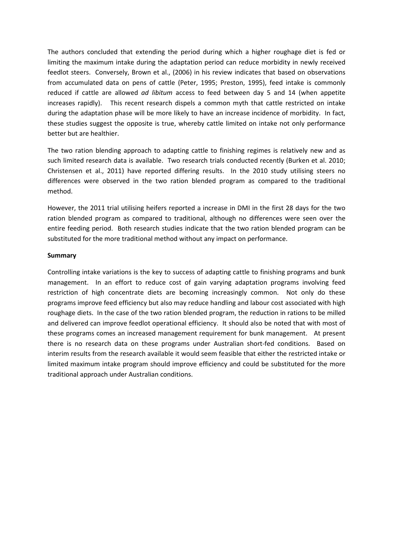The authors concluded that extending the period during which a higher roughage diet is fed or limiting the maximum intake during the adaptation period can reduce morbidity in newly received feedlot steers. Conversely, Brown et al., (2006) in his review indicates that based on observations from accumulated data on pens of cattle (Peter, 1995; Preston, 1995), feed intake is commonly reduced if cattle are allowed *ad libitum* access to feed between day 5 and 14 (when appetite increases rapidly). This recent research dispels a common myth that cattle restricted on intake during the adaptation phase will be more likely to have an increase incidence of morbidity. In fact, these studies suggest the opposite is true, whereby cattle limited on intake not only performance better but are healthier.

The two ration blending approach to adapting cattle to finishing regimes is relatively new and as such limited research data is available. Two research trials conducted recently (Burken et al. 2010; Christensen et al., 2011) have reported differing results. In the 2010 study utilising steers no differences were observed in the two ration blended program as compared to the traditional method.

However, the 2011 trial utilising heifers reported a increase in DMI in the first 28 days for the two ration blended program as compared to traditional, although no differences were seen over the entire feeding period. Both research studies indicate that the two ration blended program can be substituted for the more traditional method without any impact on performance.

#### **Summary**

Controlling intake variations is the key to success of adapting cattle to finishing programs and bunk management. In an effort to reduce cost of gain varying adaptation programs involving feed restriction of high concentrate diets are becoming increasingly common. Not only do these programs improve feed efficiency but also may reduce handling and labour cost associated with high roughage diets. In the case of the two ration blended program, the reduction in rations to be milled and delivered can improve feedlot operational efficiency. It should also be noted that with most of these programs comes an increased management requirement for bunk management. At present there is no research data on these programs under Australian short-fed conditions. Based on interim results from the research available it would seem feasible that either the restricted intake or limited maximum intake program should improve efficiency and could be substituted for the more traditional approach under Australian conditions.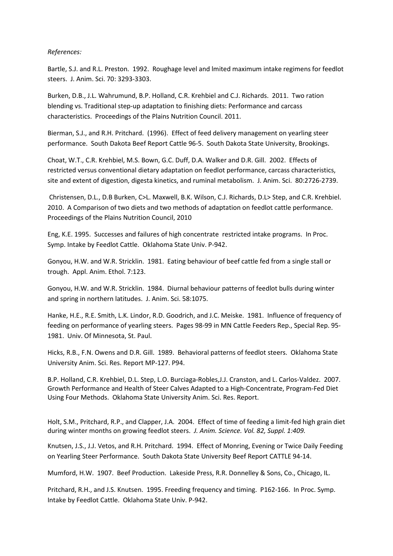#### *References:*

Bartle, S.J. and R.L. Preston. 1992. Roughage level and lmited maximum intake regimens for feedlot steers. J. Anim. Sci. 70: 3293-3303.

Burken, D.B., J.L. Wahrumund, B.P. Holland, C.R. Krehbiel and C.J. Richards. 2011. Two ration blending vs. Traditional step-up adaptation to finishing diets: Performance and carcass characteristics. Proceedings of the Plains Nutrition Council. 2011.

Bierman, S.J., and R.H. Pritchard. (1996). Effect of feed delivery management on yearling steer performance. South Dakota Beef Report Cattle 96-5. South Dakota State University, Brookings.

Choat, W.T., C.R. Krehbiel, M.S. Bown, G.C. Duff, D.A. Walker and D.R. Gill. 2002. Effects of restricted versus conventional dietary adaptation on feedlot performance, carcass characteristics, site and extent of digestion, digesta kinetics, and ruminal metabolism. J. Anim. Sci. 80:2726-2739.

 Christensen, D.L., D.B Burken, C>L. Maxwell, B.K. Wilson, C.J. Richards, D.L> Step, and C.R. Krehbiel. 2010. A Comparison of two diets and two methods of adaptation on feedlot cattle performance. Proceedings of the Plains Nutrition Council, 2010

Eng, K.E. 1995. Successes and failures of high concentrate restricted intake programs. In Proc. Symp. Intake by Feedlot Cattle. Oklahoma State Univ. P-942.

Gonyou, H.W. and W.R. Stricklin. 1981. Eating behaviour of beef cattle fed from a single stall or trough. Appl. Anim. Ethol. 7:123.

Gonyou, H.W. and W.R. Stricklin. 1984. Diurnal behaviour patterns of feedlot bulls during winter and spring in northern latitudes. J. Anim. Sci. 58:1075.

Hanke, H.E., R.E. Smith, L.K. Lindor, R.D. Goodrich, and J.C. Meiske. 1981. Influence of frequency of feeding on performance of yearling steers. Pages 98-99 in MN Cattle Feeders Rep., Special Rep. 95- 1981. Univ. Of Minnesota, St. Paul.

Hicks, R.B., F.N. Owens and D.R. Gill. 1989. Behavioral patterns of feedlot steers. Oklahoma State University Anim. Sci. Res. Report MP-127. P94.

B.P. Holland, C.R. Krehbiel, D.L. Step, L.O. Burciaga-Robles,J.J. Cranston, and L. Carlos-Valdez. 2007. Growth Performance and Health of Steer Calves Adapted to a High-Concentrate, Program-Fed Diet Using Four Methods. Oklahoma State University Anim. Sci. Res. Report.

Holt, S.M., Pritchard, R.P., and Clapper, J.A. 2004. Effect of time of feeding a limit-fed high grain diet during winter months on growing feedlot steers. *J. Anim. Science. Vol. 82, Suppl. 1:409.* 

Knutsen, J.S., J.J. Vetos, and R.H. Pritchard. 1994. Effect of Monring, Evening or Twice Daily Feeding on Yearling Steer Performance. South Dakota State University Beef Report CATTLE 94-14.

Mumford, H.W. 1907. Beef Production. Lakeside Press, R.R. Donnelley & Sons, Co., Chicago, IL.

Pritchard, R.H., and J.S. Knutsen. 1995. Freeding frequency and timing. P162-166. In Proc. Symp. Intake by Feedlot Cattle. Oklahoma State Univ. P-942.